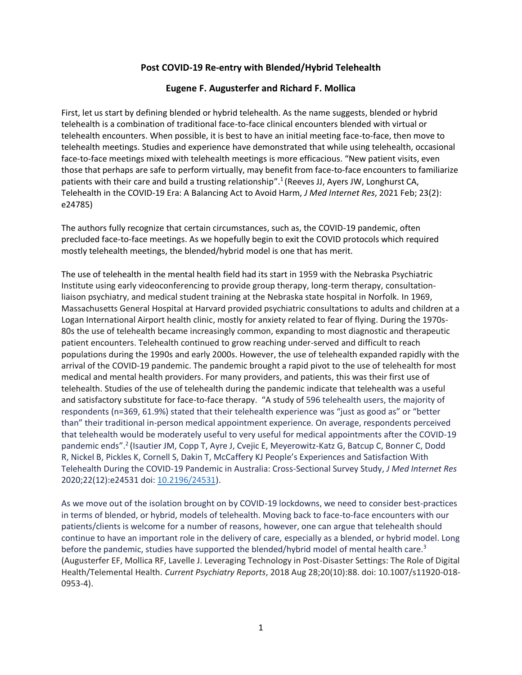## **Post COVID-19 Re-entry with Blended/Hybrid Telehealth**

## **Eugene F. Augusterfer and Richard F. Mollica**

First, let us start by defining blended or hybrid telehealth. As the name suggests, blended or hybrid telehealth is a combination of traditional face-to-face clinical encounters blended with virtual or telehealth encounters. When possible, it is best to have an initial meeting face-to-face, then move to telehealth meetings. Studies and experience have demonstrated that while using telehealth, occasional face-to-face meetings mixed with telehealth meetings is more efficacious. "New patient visits, even those that perhaps are safe to perform virtually, may benefit from face-to-face encounters to familiarize patients with their care and build a trusting relationship".<sup>1</sup> (Reeves JJ, Ayers JW, Longhurst CA, Telehealth in the COVID-19 Era: A Balancing Act to Avoid Harm, *J Med Internet Res*, 2021 Feb; 23(2): e24785)

The authors fully recognize that certain circumstances, such as, the COVID-19 pandemic, often precluded face-to-face meetings. As we hopefully begin to exit the COVID protocols which required mostly telehealth meetings, the blended/hybrid model is one that has merit.

The use of telehealth in the mental health field had its start in 1959 with the Nebraska Psychiatric Institute using early videoconferencing to provide group therapy, long-term therapy, consultationliaison psychiatry, and medical student training at the Nebraska state hospital in Norfolk. In 1969, Massachusetts General Hospital at Harvard provided psychiatric consultations to adults and children at a Logan International Airport health clinic, mostly for anxiety related to fear of flying. During the 1970s-80s the use of telehealth became increasingly common, expanding to most diagnostic and therapeutic patient encounters. Telehealth continued to grow reaching under-served and difficult to reach populations during the 1990s and early 2000s. However, the use of telehealth expanded rapidly with the arrival of the COVID-19 pandemic. The pandemic brought a rapid pivot to the use of telehealth for most medical and mental health providers. For many providers, and patients, this was their first use of telehealth. Studies of the use of telehealth during the pandemic indicate that telehealth was a useful and satisfactory substitute for face-to-face therapy. "A study of 596 telehealth users, the majority of respondents (n=369, 61.9%) stated that their telehealth experience was "just as good as" or "better than" their traditional in-person medical appointment experience. On average, respondents perceived that telehealth would be moderately useful to very useful for medical appointments after the COVID-19 pandemic ends".<sup>2</sup> (Isautier JM, Copp T, Ayre J, Cvejic E, Meyerowitz-Katz G, Batcup C, Bonner C, Dodd R, Nickel B, Pickles K, Cornell S, Dakin T, McCaffery KJ People's Experiences and Satisfaction With Telehealth During the COVID-19 Pandemic in Australia: Cross-Sectional Survey Study, *J Med Internet Res* 2020;22(12):e24531 doi: [10.2196/24531\)](https://doi.org/10.2196/24531).

As we move out of the isolation brought on by COVID-19 lockdowns, we need to consider best-practices in terms of blended, or hybrid, models of telehealth. Moving back to face-to-face encounters with our patients/clients is welcome for a number of reasons, however, one can argue that telehealth should continue to have an important role in the delivery of care, especially as a blended, or hybrid model. Long before the pandemic, studies have supported the blended/hybrid model of mental health care.<sup>3</sup> (Augusterfer EF, Mollica RF, Lavelle J. Leveraging Technology in Post-Disaster Settings: The Role of Digital Health/Telemental Health. *Current Psychiatry Reports*, 2018 Aug 28;20(10):88. doi: 10.1007/s11920-018- 0953-4).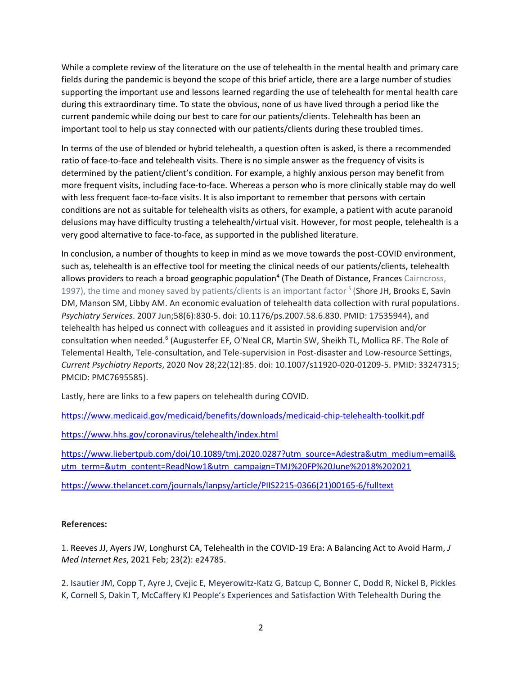While a complete review of the literature on the use of telehealth in the mental health and primary care fields during the pandemic is beyond the scope of this brief article, there are a large number of studies supporting the important use and lessons learned regarding the use of telehealth for mental health care during this extraordinary time. To state the obvious, none of us have lived through a period like the current pandemic while doing our best to care for our patients/clients. Telehealth has been an important tool to help us stay connected with our patients/clients during these troubled times.

In terms of the use of blended or hybrid telehealth, a question often is asked, is there a recommended ratio of face-to-face and telehealth visits. There is no simple answer as the frequency of visits is determined by the patient/client's condition. For example, a highly anxious person may benefit from more frequent visits, including face-to-face. Whereas a person who is more clinically stable may do well with less frequent face-to-face visits. It is also important to remember that persons with certain conditions are not as suitable for telehealth visits as others, for example, a patient with acute paranoid delusions may have difficulty trusting a telehealth/virtual visit. However, for most people, telehealth is a very good alternative to face-to-face, as supported in the published literature.

In conclusion, a number of thoughts to keep in mind as we move towards the post-COVID environment, such as, telehealth is an effective tool for meeting the clinical needs of our patients/clients, telehealth allows providers to reach a broad geographic population<sup>4</sup> (The Death of Distance, Frances Cairncross, 1997), the time and money saved by patients/clients is an important factor <sup>5</sup> (Shore JH, Brooks E, Savin DM, Manson SM, Libby AM. An economic evaluation of telehealth data collection with rural populations. *Psychiatry Services*. 2007 Jun;58(6):830-5. doi: 10.1176/ps.2007.58.6.830. PMID: 17535944), and telehealth has helped us connect with colleagues and it assisted in providing supervision and/or consultation when needed.<sup>6</sup> (Augusterfer EF, O'Neal CR, Martin SW, Sheikh TL, Mollica RF. The Role of Telemental Health, Tele-consultation, and Tele-supervision in Post-disaster and Low-resource Settings, *Current Psychiatry Reports*, 2020 Nov 28;22(12):85. doi: 10.1007/s11920-020-01209-5. PMID: 33247315; PMCID: PMC7695585).

Lastly, here are links to a few papers on telehealth during COVID.

<https://www.medicaid.gov/medicaid/benefits/downloads/medicaid-chip-telehealth-toolkit.pdf>

<https://www.hhs.gov/coronavirus/telehealth/index.html>

[https://www.liebertpub.com/doi/10.1089/tmj.2020.0287?utm\\_source=Adestra&utm\\_medium=email&](https://www.liebertpub.com/doi/10.1089/tmj.2020.0287?utm_source=Adestra&utm_medium=email&utm_term=&utm_content=ReadNow1&utm_campaign=TMJ%20FP%20June%2018%202021) [utm\\_term=&utm\\_content=ReadNow1&utm\\_campaign=TMJ%20FP%20June%2018%202021](https://www.liebertpub.com/doi/10.1089/tmj.2020.0287?utm_source=Adestra&utm_medium=email&utm_term=&utm_content=ReadNow1&utm_campaign=TMJ%20FP%20June%2018%202021)

[https://www.thelancet.com/journals/lanpsy/article/PIIS2215-0366\(21\)00165-6/fulltext](https://www.thelancet.com/journals/lanpsy/article/PIIS2215-0366(21)00165-6/fulltext)

## **References:**

1. Reeves JJ, Ayers JW, Longhurst CA, Telehealth in the COVID-19 Era: A Balancing Act to Avoid Harm, *J Med Internet Res*, 2021 Feb; 23(2): e24785.

2. Isautier JM, Copp T, Ayre J, Cvejic E, Meyerowitz-Katz G, Batcup C, Bonner C, Dodd R, Nickel B, Pickles K, Cornell S, Dakin T, McCaffery KJ People's Experiences and Satisfaction With Telehealth During the